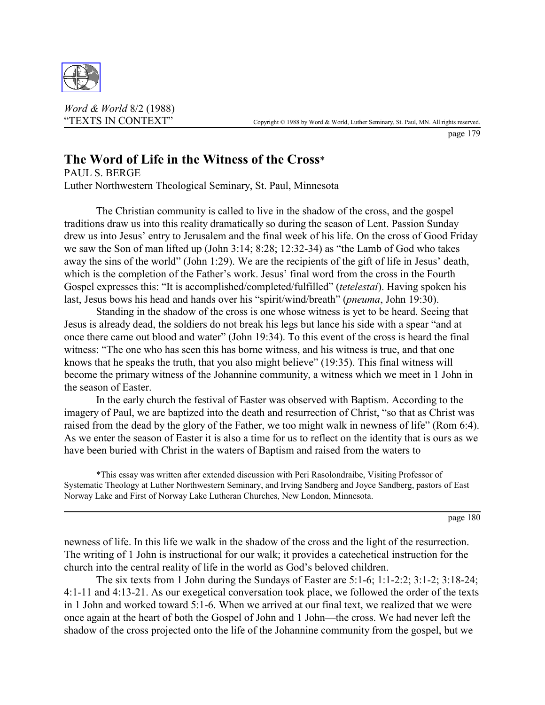

*Word & World* 8/2 (1988)

page 179

# **The Word of Life in the Witness of the Cross**\*

PAUL S. BERGE Luther Northwestern Theological Seminary, St. Paul, Minnesota

The Christian community is called to live in the shadow of the cross, and the gospel traditions draw us into this reality dramatically so during the season of Lent. Passion Sunday drew us into Jesus' entry to Jerusalem and the final week of his life. On the cross of Good Friday we saw the Son of man lifted up (John 3:14; 8:28; 12:32-34) as "the Lamb of God who takes away the sins of the world" (John 1:29). We are the recipients of the gift of life in Jesus' death, which is the completion of the Father's work. Jesus' final word from the cross in the Fourth Gospel expresses this: "It is accomplished/completed/fulfilled" (*tetelestai*). Having spoken his last, Jesus bows his head and hands over his "spirit/wind/breath" (*pneuma*, John 19:30).

Standing in the shadow of the cross is one whose witness is yet to be heard. Seeing that Jesus is already dead, the soldiers do not break his legs but lance his side with a spear "and at once there came out blood and water" (John 19:34). To this event of the cross is heard the final witness: "The one who has seen this has borne witness, and his witness is true, and that one knows that he speaks the truth, that you also might believe" (19:35). This final witness will become the primary witness of the Johannine community, a witness which we meet in 1 John in the season of Easter.

In the early church the festival of Easter was observed with Baptism. According to the imagery of Paul, we are baptized into the death and resurrection of Christ, "so that as Christ was raised from the dead by the glory of the Father, we too might walk in newness of life" (Rom 6:4). As we enter the season of Easter it is also a time for us to reflect on the identity that is ours as we have been buried with Christ in the waters of Baptism and raised from the waters to

\*This essay was written after extended discussion with Peri Rasolondraibe, Visiting Professor of Systematic Theology at Luther Northwestern Seminary, and Irving Sandberg and Joyce Sandberg, pastors of East Norway Lake and First of Norway Lake Lutheran Churches, New London, Minnesota.

page 180

newness of life. In this life we walk in the shadow of the cross and the light of the resurrection. The writing of 1 John is instructional for our walk; it provides a catechetical instruction for the church into the central reality of life in the world as God's beloved children.

The six texts from 1 John during the Sundays of Easter are 5:1-6; 1:1-2:2; 3:1-2; 3:18-24; 4:1-11 and 4:13-21. As our exegetical conversation took place, we followed the order of the texts in 1 John and worked toward 5:1-6. When we arrived at our final text, we realized that we were once again at the heart of both the Gospel of John and 1 John—the cross. We had never left the shadow of the cross projected onto the life of the Johannine community from the gospel, but we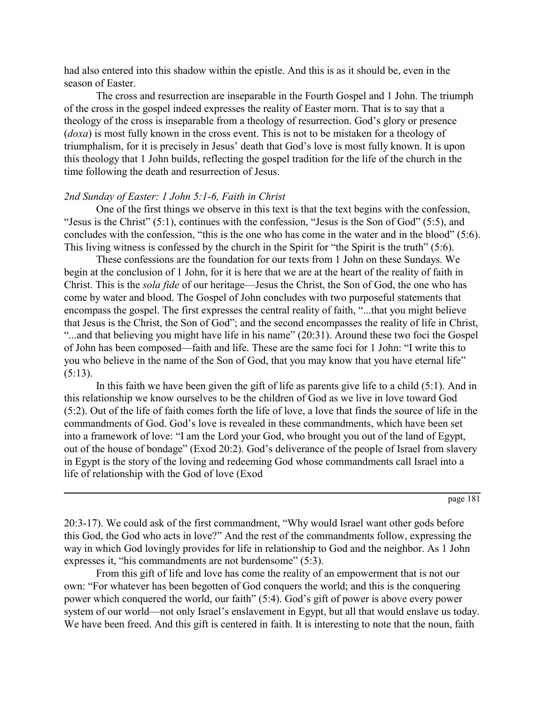had also entered into this shadow within the epistle. And this is as it should be, even in the season of Easter.

The cross and resurrection are inseparable in the Fourth Gospel and 1 John. The triumph of the cross in the gospel indeed expresses the reality of Easter morn. That is to say that a theology of the cross is inseparable from a theology of resurrection. God's glory or presence (*doxa*) is most fully known in the cross event. This is not to be mistaken for a theology of triumphalism, for it is precisely in Jesus' death that God's love is most fully known. It is upon this theology that 1 John builds, reflecting the gospel tradition for the life of the church in the time following the death and resurrection of Jesus.

#### *2nd Sunday of Easter: 1 John 5:1-6, Faith in Christ*

One of the first things we observe in this text is that the text begins with the confession, "Jesus is the Christ" (5:1), continues with the confession, "Jesus is the Son of God" (5:5), and concludes with the confession, "this is the one who has come in the water and in the blood" (5:6). This living witness is confessed by the church in the Spirit for "the Spirit is the truth" (5:6).

These confessions are the foundation for our texts from 1 John on these Sundays. We begin at the conclusion of 1 John, for it is here that we are at the heart of the reality of faith in Christ. This is the *sola fide* of our heritage—Jesus the Christ, the Son of God, the one who has come by water and blood. The Gospel of John concludes with two purposeful statements that encompass the gospel. The first expresses the central reality of faith, "...that you might believe that Jesus is the Christ, the Son of God"; and the second encompasses the reality of life in Christ, "...and that believing you might have life in his name" (20:31). Around these two foci the Gospel of John has been composed—faith and life. These are the same foci for 1 John: "I write this to you who believe in the name of the Son of God, that you may know that you have eternal life"  $(5:13)$ .

In this faith we have been given the gift of life as parents give life to a child (5:1). And in this relationship we know ourselves to be the children of God as we live in love toward God (5:2). Out of the life of faith comes forth the life of love, a love that finds the source of life in the commandments of God. God's love is revealed in these commandments, which have been set into a framework of love: "I am the Lord your God, who brought you out of the land of Egypt, out of the house of bondage" (Exod 20:2). God's deliverance of the people of Israel from slavery in Egypt is the story of the loving and redeeming God whose commandments call Israel into a life of relationship with the God of love (Exod

page 181

20:3-17). We could ask of the first commandment, "Why would Israel want other gods before this God, the God who acts in love?" And the rest of the commandments follow, expressing the way in which God lovingly provides for life in relationship to God and the neighbor. As 1 John expresses it, "his commandments are not burdensome" (5:3).

From this gift of life and love has come the reality of an empowerment that is not our own: "For whatever has been begotten of God conquers the world; and this is the conquering power which conquered the world, our faith" (5:4). God's gift of power is above every power system of our world—not only Israel's enslavement in Egypt, but all that would enslave us today. We have been freed. And this gift is centered in faith. It is interesting to note that the noun, faith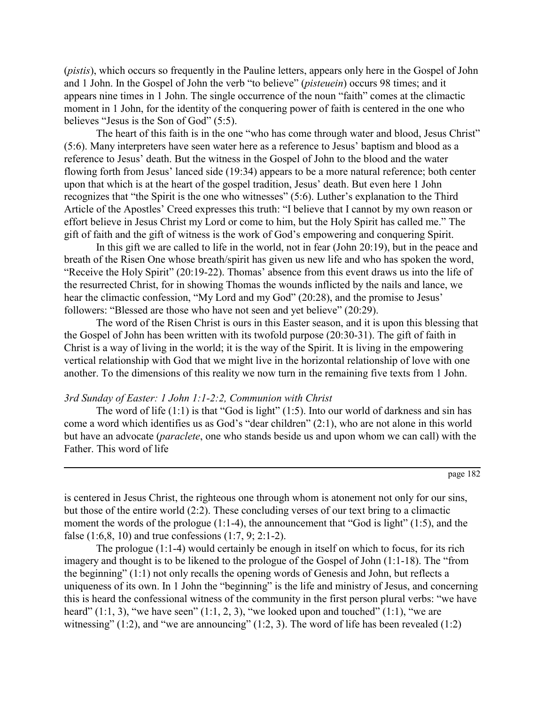(*pistis*), which occurs so frequently in the Pauline letters, appears only here in the Gospel of John and 1 John. In the Gospel of John the verb "to believe" (*pisteuein*) occurs 98 times; and it appears nine times in 1 John. The single occurrence of the noun "faith" comes at the climactic moment in 1 John, for the identity of the conquering power of faith is centered in the one who believes "Jesus is the Son of God" (5:5).

The heart of this faith is in the one "who has come through water and blood, Jesus Christ" (5:6). Many interpreters have seen water here as a reference to Jesus' baptism and blood as a reference to Jesus' death. But the witness in the Gospel of John to the blood and the water flowing forth from Jesus' lanced side (19:34) appears to be a more natural reference; both center upon that which is at the heart of the gospel tradition, Jesus' death. But even here 1 John recognizes that "the Spirit is the one who witnesses" (5:6). Luther's explanation to the Third Article of the Apostles' Creed expresses this truth: "I believe that I cannot by my own reason or effort believe in Jesus Christ my Lord or come to him, but the Holy Spirit has called me." The gift of faith and the gift of witness is the work of God's empowering and conquering Spirit.

In this gift we are called to life in the world, not in fear (John 20:19), but in the peace and breath of the Risen One whose breath/spirit has given us new life and who has spoken the word, "Receive the Holy Spirit" (20:19-22). Thomas' absence from this event draws us into the life of the resurrected Christ, for in showing Thomas the wounds inflicted by the nails and lance, we hear the climactic confession, "My Lord and my God" (20:28), and the promise to Jesus' followers: "Blessed are those who have not seen and yet believe" (20:29).

The word of the Risen Christ is ours in this Easter season, and it is upon this blessing that the Gospel of John has been written with its twofold purpose (20:30-31). The gift of faith in Christ is a way of living in the world; it is the way of the Spirit. It is living in the empowering vertical relationship with God that we might live in the horizontal relationship of love with one another. To the dimensions of this reality we now turn in the remaining five texts from 1 John.

## *3rd Sunday of Easter: 1 John 1:1-2:2, Communion with Christ*

The word of life  $(1:1)$  is that "God is light"  $(1:5)$ . Into our world of darkness and sin has come a word which identifies us as God's "dear children" (2:1), who are not alone in this world but have an advocate (*paraclete*, one who stands beside us and upon whom we can call) with the Father. This word of life

is centered in Jesus Christ, the righteous one through whom is atonement not only for our sins, but those of the entire world (2:2). These concluding verses of our text bring to a climactic moment the words of the prologue (1:1-4), the announcement that "God is light" (1:5), and the false  $(1:6,8, 10)$  and true confessions  $(1:7, 9; 2:1-2)$ .

The prologue (1:1-4) would certainly be enough in itself on which to focus, for its rich imagery and thought is to be likened to the prologue of the Gospel of John (1:1-18). The "from the beginning" (1:1) not only recalls the opening words of Genesis and John, but reflects a uniqueness of its own. In 1 John the "beginning" is the life and ministry of Jesus, and concerning this is heard the confessional witness of the community in the first person plural verbs: "we have heard"  $(1:1, 3)$ , "we have seen"  $(1:1, 2, 3)$ , "we looked upon and touched"  $(1:1)$ , "we are witnessing"  $(1:2)$ , and "we are announcing"  $(1:2, 3)$ . The word of life has been revealed  $(1:2)$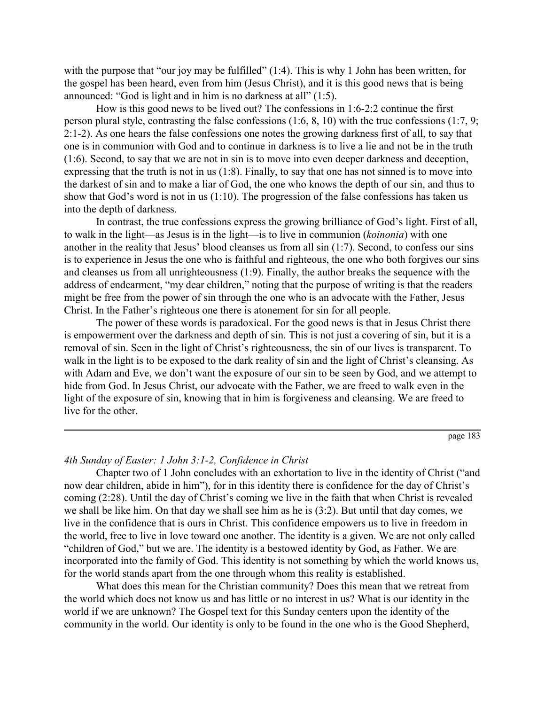with the purpose that "our joy may be fulfilled" (1:4). This is why 1 John has been written, for the gospel has been heard, even from him (Jesus Christ), and it is this good news that is being announced: "God is light and in him is no darkness at all" (1:5).

How is this good news to be lived out? The confessions in 1:6-2:2 continue the first person plural style, contrasting the false confessions (1:6, 8, 10) with the true confessions (1:7, 9; 2:1-2). As one hears the false confessions one notes the growing darkness first of all, to say that one is in communion with God and to continue in darkness is to live a lie and not be in the truth (1:6). Second, to say that we are not in sin is to move into even deeper darkness and deception, expressing that the truth is not in us (1:8). Finally, to say that one has not sinned is to move into the darkest of sin and to make a liar of God, the one who knows the depth of our sin, and thus to show that God's word is not in us (1:10). The progression of the false confessions has taken us into the depth of darkness.

In contrast, the true confessions express the growing brilliance of God's light. First of all, to walk in the light—as Jesus is in the light—is to live in communion (*koinonia*) with one another in the reality that Jesus' blood cleanses us from all sin (1:7). Second, to confess our sins is to experience in Jesus the one who is faithful and righteous, the one who both forgives our sins and cleanses us from all unrighteousness (1:9). Finally, the author breaks the sequence with the address of endearment, "my dear children," noting that the purpose of writing is that the readers might be free from the power of sin through the one who is an advocate with the Father, Jesus Christ. In the Father's righteous one there is atonement for sin for all people.

The power of these words is paradoxical. For the good news is that in Jesus Christ there is empowerment over the darkness and depth of sin. This is not just a covering of sin, but it is a removal of sin. Seen in the light of Christ's righteousness, the sin of our lives is transparent. To walk in the light is to be exposed to the dark reality of sin and the light of Christ's cleansing. As with Adam and Eve, we don't want the exposure of our sin to be seen by God, and we attempt to hide from God. In Jesus Christ, our advocate with the Father, we are freed to walk even in the light of the exposure of sin, knowing that in him is forgiveness and cleansing. We are freed to live for the other.

page 183

### *4th Sunday of Easter: 1 John 3:1-2, Confidence in Christ*

Chapter two of 1 John concludes with an exhortation to live in the identity of Christ ("and now dear children, abide in him"), for in this identity there is confidence for the day of Christ's coming (2:28). Until the day of Christ's coming we live in the faith that when Christ is revealed we shall be like him. On that day we shall see him as he is (3:2). But until that day comes, we live in the confidence that is ours in Christ. This confidence empowers us to live in freedom in the world, free to live in love toward one another. The identity is a given. We are not only called "children of God," but we are. The identity is a bestowed identity by God, as Father. We are incorporated into the family of God. This identity is not something by which the world knows us, for the world stands apart from the one through whom this reality is established.

What does this mean for the Christian community? Does this mean that we retreat from the world which does not know us and has little or no interest in us? What is our identity in the world if we are unknown? The Gospel text for this Sunday centers upon the identity of the community in the world. Our identity is only to be found in the one who is the Good Shepherd,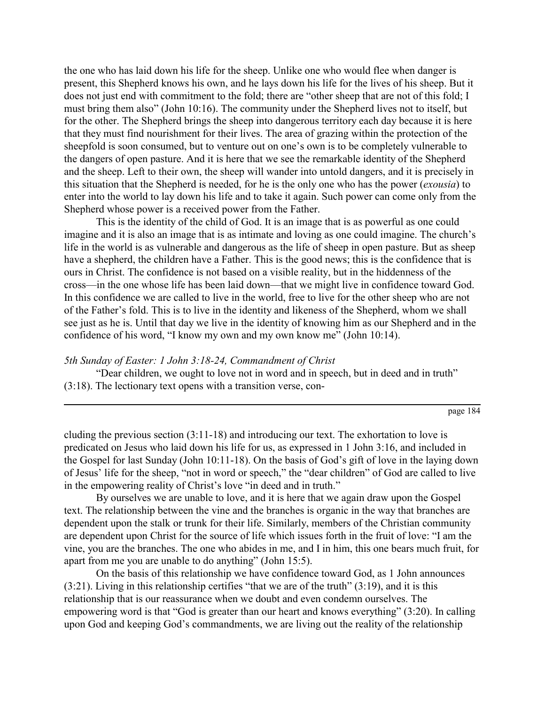the one who has laid down his life for the sheep. Unlike one who would flee when danger is present, this Shepherd knows his own, and he lays down his life for the lives of his sheep. But it does not just end with commitment to the fold; there are "other sheep that are not of this fold; I must bring them also" (John 10:16). The community under the Shepherd lives not to itself, but for the other. The Shepherd brings the sheep into dangerous territory each day because it is here that they must find nourishment for their lives. The area of grazing within the protection of the sheepfold is soon consumed, but to venture out on one's own is to be completely vulnerable to the dangers of open pasture. And it is here that we see the remarkable identity of the Shepherd and the sheep. Left to their own, the sheep will wander into untold dangers, and it is precisely in this situation that the Shepherd is needed, for he is the only one who has the power (*exousia*) to enter into the world to lay down his life and to take it again. Such power can come only from the Shepherd whose power is a received power from the Father.

This is the identity of the child of God. It is an image that is as powerful as one could imagine and it is also an image that is as intimate and loving as one could imagine. The church's life in the world is as vulnerable and dangerous as the life of sheep in open pasture. But as sheep have a shepherd, the children have a Father. This is the good news; this is the confidence that is ours in Christ. The confidence is not based on a visible reality, but in the hiddenness of the cross—in the one whose life has been laid down—that we might live in confidence toward God. In this confidence we are called to live in the world, free to live for the other sheep who are not of the Father's fold. This is to live in the identity and likeness of the Shepherd, whom we shall see just as he is. Until that day we live in the identity of knowing him as our Shepherd and in the confidence of his word, "I know my own and my own know me" (John 10:14).

#### *5th Sunday of Easter: 1 John 3:18-24, Commandment of Christ*

"Dear children, we ought to love not in word and in speech, but in deed and in truth" (3:18). The lectionary text opens with a transition verse, con-

cluding the previous section (3:11-18) and introducing our text. The exhortation to love is predicated on Jesus who laid down his life for us, as expressed in 1 John 3:16, and included in the Gospel for last Sunday (John 10:11-18). On the basis of God's gift of love in the laying down of Jesus' life for the sheep, "not in word or speech," the "dear children" of God are called to live in the empowering reality of Christ's love "in deed and in truth."

By ourselves we are unable to love, and it is here that we again draw upon the Gospel text. The relationship between the vine and the branches is organic in the way that branches are dependent upon the stalk or trunk for their life. Similarly, members of the Christian community are dependent upon Christ for the source of life which issues forth in the fruit of love: "I am the vine, you are the branches. The one who abides in me, and I in him, this one bears much fruit, for apart from me you are unable to do anything" (John 15:5).

On the basis of this relationship we have confidence toward God, as 1 John announces  $(3:21)$ . Living in this relationship certifies "that we are of the truth"  $(3:19)$ , and it is this relationship that is our reassurance when we doubt and even condemn ourselves. The empowering word is that "God is greater than our heart and knows everything" (3:20). In calling upon God and keeping God's commandments, we are living out the reality of the relationship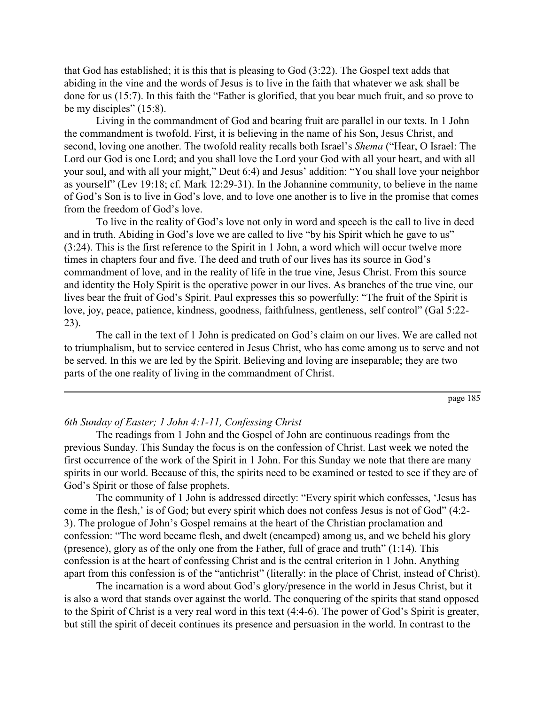that God has established; it is this that is pleasing to God (3:22). The Gospel text adds that abiding in the vine and the words of Jesus is to live in the faith that whatever we ask shall be done for us (15:7). In this faith the "Father is glorified, that you bear much fruit, and so prove to be my disciples" (15:8).

Living in the commandment of God and bearing fruit are parallel in our texts. In 1 John the commandment is twofold. First, it is believing in the name of his Son, Jesus Christ, and second, loving one another. The twofold reality recalls both Israel's *Shema* ("Hear, O Israel: The Lord our God is one Lord; and you shall love the Lord your God with all your heart, and with all your soul, and with all your might," Deut 6:4) and Jesus' addition: "You shall love your neighbor as yourself" (Lev 19:18; cf. Mark 12:29-31). In the Johannine community, to believe in the name of God's Son is to live in God's love, and to love one another is to live in the promise that comes from the freedom of God's love.

To live in the reality of God's love not only in word and speech is the call to live in deed and in truth. Abiding in God's love we are called to live "by his Spirit which he gave to us" (3:24). This is the first reference to the Spirit in 1 John, a word which will occur twelve more times in chapters four and five. The deed and truth of our lives has its source in God's commandment of love, and in the reality of life in the true vine, Jesus Christ. From this source and identity the Holy Spirit is the operative power in our lives. As branches of the true vine, our lives bear the fruit of God's Spirit. Paul expresses this so powerfully: "The fruit of the Spirit is love, joy, peace, patience, kindness, goodness, faithfulness, gentleness, self control" (Gal 5:22- 23).

The call in the text of 1 John is predicated on God's claim on our lives. We are called not to triumphalism, but to service centered in Jesus Christ, who has come among us to serve and not be served. In this we are led by the Spirit. Believing and loving are inseparable; they are two parts of the one reality of living in the commandment of Christ.

page 185

## *6th Sunday of Easter; 1 John 4:1-11, Confessing Christ*

The readings from 1 John and the Gospel of John are continuous readings from the previous Sunday. This Sunday the focus is on the confession of Christ. Last week we noted the first occurrence of the work of the Spirit in 1 John. For this Sunday we note that there are many spirits in our world. Because of this, the spirits need to be examined or tested to see if they are of God's Spirit or those of false prophets.

The community of 1 John is addressed directly: "Every spirit which confesses, 'Jesus has come in the flesh,' is of God; but every spirit which does not confess Jesus is not of God" (4:2- 3). The prologue of John's Gospel remains at the heart of the Christian proclamation and confession: "The word became flesh, and dwelt (encamped) among us, and we beheld his glory (presence), glory as of the only one from the Father, full of grace and truth" (1:14). This confession is at the heart of confessing Christ and is the central criterion in 1 John. Anything apart from this confession is of the "antichrist" (literally: in the place of Christ, instead of Christ).

The incarnation is a word about God's glory/presence in the world in Jesus Christ, but it is also a word that stands over against the world. The conquering of the spirits that stand opposed to the Spirit of Christ is a very real word in this text (4:4-6). The power of God's Spirit is greater, but still the spirit of deceit continues its presence and persuasion in the world. In contrast to the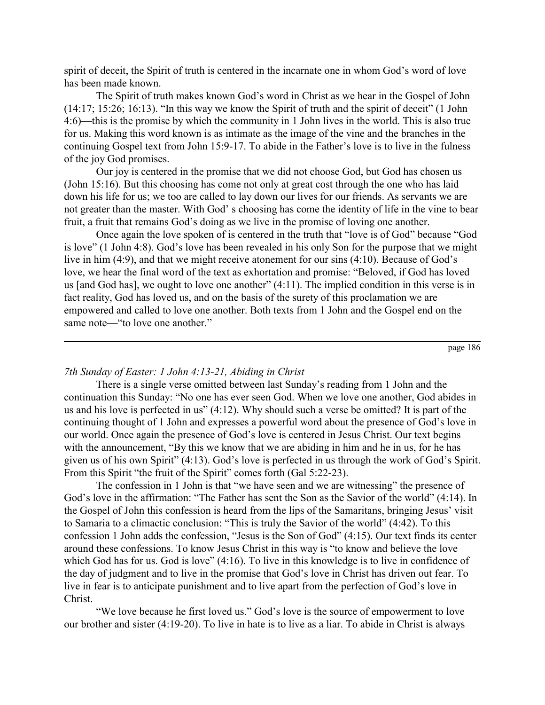spirit of deceit, the Spirit of truth is centered in the incarnate one in whom God's word of love has been made known.

The Spirit of truth makes known God's word in Christ as we hear in the Gospel of John (14:17; 15:26; 16:13). "In this way we know the Spirit of truth and the spirit of deceit" (1 John 4:6)—this is the promise by which the community in 1 John lives in the world. This is also true for us. Making this word known is as intimate as the image of the vine and the branches in the continuing Gospel text from John 15:9-17. To abide in the Father's love is to live in the fulness of the joy God promises.

Our joy is centered in the promise that we did not choose God, but God has chosen us (John 15:16). But this choosing has come not only at great cost through the one who has laid down his life for us; we too are called to lay down our lives for our friends. As servants we are not greater than the master. With God' s choosing has come the identity of life in the vine to bear fruit, a fruit that remains God's doing as we live in the promise of loving one another.

Once again the love spoken of is centered in the truth that "love is of God" because "God is love" (1 John 4:8). God's love has been revealed in his only Son for the purpose that we might live in him (4:9), and that we might receive atonement for our sins (4:10). Because of God's love, we hear the final word of the text as exhortation and promise: "Beloved, if God has loved us [and God has], we ought to love one another" (4:11). The implied condition in this verse is in fact reality, God has loved us, and on the basis of the surety of this proclamation we are empowered and called to love one another. Both texts from 1 John and the Gospel end on the same note—"to love one another."

page 186

### *7th Sunday of Easter: 1 John 4:13-21, Abiding in Christ*

There is a single verse omitted between last Sunday's reading from 1 John and the continuation this Sunday: "No one has ever seen God. When we love one another, God abides in us and his love is perfected in us" (4:12). Why should such a verse be omitted? It is part of the continuing thought of 1 John and expresses a powerful word about the presence of God's love in our world. Once again the presence of God's love is centered in Jesus Christ. Our text begins with the announcement, "By this we know that we are abiding in him and he in us, for he has given us of his own Spirit" (4:13). God's love is perfected in us through the work of God's Spirit. From this Spirit "the fruit of the Spirit" comes forth (Gal 5:22-23).

The confession in 1 John is that "we have seen and we are witnessing" the presence of God's love in the affirmation: "The Father has sent the Son as the Savior of the world" (4:14). In the Gospel of John this confession is heard from the lips of the Samaritans, bringing Jesus' visit to Samaria to a climactic conclusion: "This is truly the Savior of the world" (4:42). To this confession 1 John adds the confession, "Jesus is the Son of God" (4:15). Our text finds its center around these confessions. To know Jesus Christ in this way is "to know and believe the love which God has for us. God is love" (4:16). To live in this knowledge is to live in confidence of the day of judgment and to live in the promise that God's love in Christ has driven out fear. To live in fear is to anticipate punishment and to live apart from the perfection of God's love in Christ.

"We love because he first loved us." God's love is the source of empowerment to love our brother and sister (4:19-20). To live in hate is to live as a liar. To abide in Christ is always